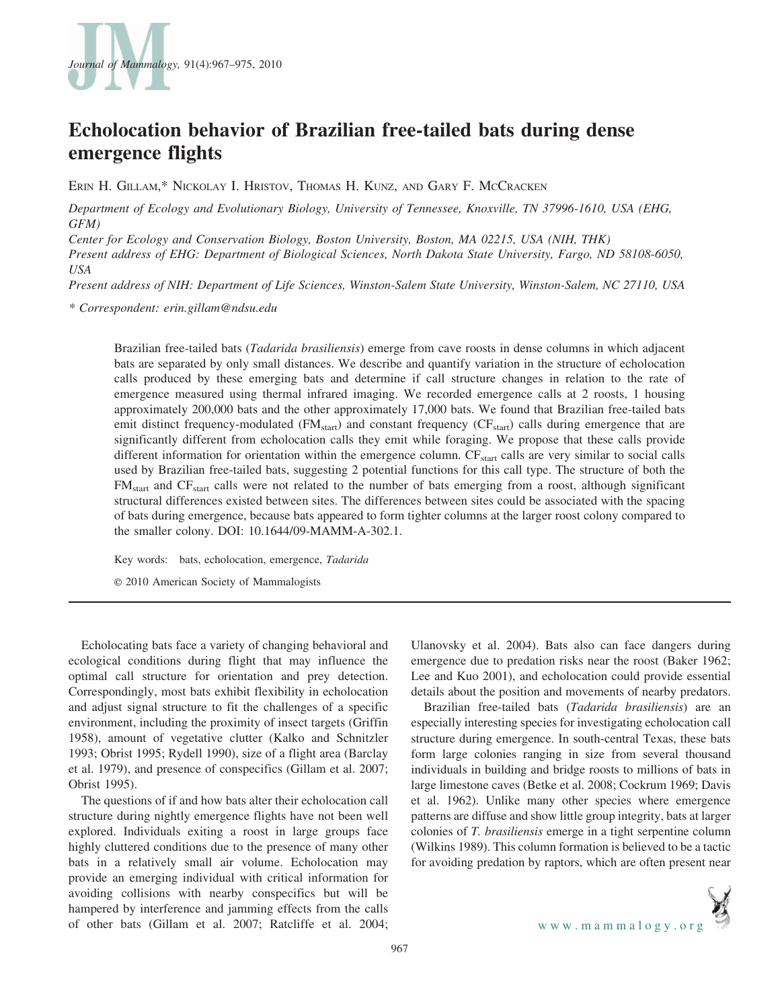

# Echolocation behavior of Brazilian free-tailed bats during dense emergence flights

ERIN H. GILLAM,\* NICKOLAY I. HRISTOV, THOMAS H. KUNZ, AND GARY F. MCCRACKEN

Department of Ecology and Evolutionary Biology, University of Tennessee, Knoxville, TN 37996-1610, USA (EHG, GFM)

Center for Ecology and Conservation Biology, Boston University, Boston, MA 02215, USA (NIH, THK)

Present address of EHG: Department of Biological Sciences, North Dakota State University, Fargo, ND 58108-6050, USA

Present address of NIH: Department of Life Sciences, Winston-Salem State University, Winston-Salem, NC 27110, USA

\* Correspondent: erin.gillam@ndsu.edu

Brazilian free-tailed bats (Tadarida brasiliensis) emerge from cave roosts in dense columns in which adjacent bats are separated by only small distances. We describe and quantify variation in the structure of echolocation calls produced by these emerging bats and determine if call structure changes in relation to the rate of emergence measured using thermal infrared imaging. We recorded emergence calls at 2 roosts, 1 housing approximately 200,000 bats and the other approximately 17,000 bats. We found that Brazilian free-tailed bats emit distinct frequency-modulated ( $FM<sub>start</sub>$ ) and constant frequency ( $CF<sub>start</sub>$ ) calls during emergence that are significantly different from echolocation calls they emit while foraging. We propose that these calls provide different information for orientation within the emergence column.  $CF_{start}$  calls are very similar to social calls used by Brazilian free-tailed bats, suggesting 2 potential functions for this call type. The structure of both the FMstart and CFstart calls were not related to the number of bats emerging from a roost, although significant structural differences existed between sites. The differences between sites could be associated with the spacing of bats during emergence, because bats appeared to form tighter columns at the larger roost colony compared to the smaller colony. DOI: 10.1644/09-MAMM-A-302.1.

Key words: bats, echolocation, emergence, Tadarida

E 2010 American Society of Mammalogists

Echolocating bats face a variety of changing behavioral and ecological conditions during flight that may influence the optimal call structure for orientation and prey detection. Correspondingly, most bats exhibit flexibility in echolocation and adjust signal structure to fit the challenges of a specific environment, including the proximity of insect targets (Griffin 1958), amount of vegetative clutter (Kalko and Schnitzler 1993; Obrist 1995; Rydell 1990), size of a flight area (Barclay et al. 1979), and presence of conspecifics (Gillam et al. 2007; Obrist 1995).

The questions of if and how bats alter their echolocation call structure during nightly emergence flights have not been well explored. Individuals exiting a roost in large groups face highly cluttered conditions due to the presence of many other bats in a relatively small air volume. Echolocation may provide an emerging individual with critical information for avoiding collisions with nearby conspecifics but will be hampered by interference and jamming effects from the calls of other bats (Gillam et al. 2007; Ratcliffe et al. 2004; Ulanovsky et al. 2004). Bats also can face dangers during emergence due to predation risks near the roost (Baker 1962; Lee and Kuo 2001), and echolocation could provide essential details about the position and movements of nearby predators.

Brazilian free-tailed bats (Tadarida brasiliensis) are an especially interesting species for investigating echolocation call structure during emergence. In south-central Texas, these bats form large colonies ranging in size from several thousand individuals in building and bridge roosts to millions of bats in large limestone caves (Betke et al. 2008; Cockrum 1969; Davis et al. 1962). Unlike many other species where emergence patterns are diffuse and show little group integrity, bats at larger colonies of T. brasiliensis emerge in a tight serpentine column (Wilkins 1989). This column formation is believed to be a tactic for avoiding predation by raptors, which are often present near



967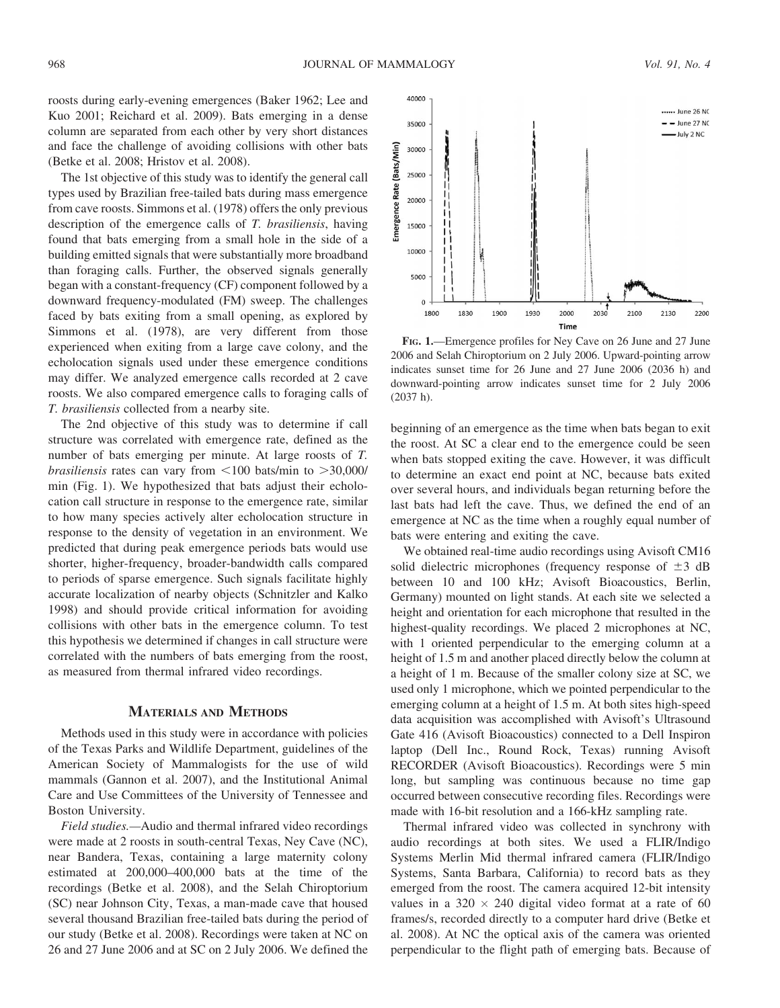roosts during early-evening emergences (Baker 1962; Lee and Kuo 2001; Reichard et al. 2009). Bats emerging in a dense column are separated from each other by very short distances and face the challenge of avoiding collisions with other bats (Betke et al. 2008; Hristov et al. 2008).

The 1st objective of this study was to identify the general call types used by Brazilian free-tailed bats during mass emergence from cave roosts. Simmons et al. (1978) offers the only previous description of the emergence calls of T. brasiliensis, having found that bats emerging from a small hole in the side of a building emitted signals that were substantially more broadband than foraging calls. Further, the observed signals generally began with a constant-frequency (CF) component followed by a downward frequency-modulated (FM) sweep. The challenges faced by bats exiting from a small opening, as explored by Simmons et al. (1978), are very different from those experienced when exiting from a large cave colony, and the echolocation signals used under these emergence conditions may differ. We analyzed emergence calls recorded at 2 cave roosts. We also compared emergence calls to foraging calls of T. brasiliensis collected from a nearby site.

The 2nd objective of this study was to determine if call structure was correlated with emergence rate, defined as the number of bats emerging per minute. At large roosts of T. *brasiliensis* rates can vary from  $\leq 100$  bats/min to  $>30,000/$ min (Fig. 1). We hypothesized that bats adjust their echolocation call structure in response to the emergence rate, similar to how many species actively alter echolocation structure in response to the density of vegetation in an environment. We predicted that during peak emergence periods bats would use shorter, higher-frequency, broader-bandwidth calls compared to periods of sparse emergence. Such signals facilitate highly accurate localization of nearby objects (Schnitzler and Kalko 1998) and should provide critical information for avoiding collisions with other bats in the emergence column. To test this hypothesis we determined if changes in call structure were correlated with the numbers of bats emerging from the roost, as measured from thermal infrared video recordings.

## MATERIALS AND METHODS

Methods used in this study were in accordance with policies of the Texas Parks and Wildlife Department, guidelines of the American Society of Mammalogists for the use of wild mammals (Gannon et al. 2007), and the Institutional Animal Care and Use Committees of the University of Tennessee and Boston University.

Field studies.—Audio and thermal infrared video recordings were made at 2 roosts in south-central Texas, Ney Cave (NC), near Bandera, Texas, containing a large maternity colony estimated at 200,000–400,000 bats at the time of the recordings (Betke et al. 2008), and the Selah Chiroptorium (SC) near Johnson City, Texas, a man-made cave that housed several thousand Brazilian free-tailed bats during the period of our study (Betke et al. 2008). Recordings were taken at NC on 26 and 27 June 2006 and at SC on 2 July 2006. We defined the



FIG. 1.—Emergence profiles for Ney Cave on 26 June and 27 June 2006 and Selah Chiroptorium on 2 July 2006. Upward-pointing arrow indicates sunset time for 26 June and 27 June 2006 (2036 h) and downward-pointing arrow indicates sunset time for 2 July 2006 (2037 h).

beginning of an emergence as the time when bats began to exit the roost. At SC a clear end to the emergence could be seen when bats stopped exiting the cave. However, it was difficult to determine an exact end point at NC, because bats exited over several hours, and individuals began returning before the last bats had left the cave. Thus, we defined the end of an emergence at NC as the time when a roughly equal number of bats were entering and exiting the cave.

We obtained real-time audio recordings using Avisoft CM16 solid dielectric microphones (frequency response of  $\pm 3$  dB between 10 and 100 kHz; Avisoft Bioacoustics, Berlin, Germany) mounted on light stands. At each site we selected a height and orientation for each microphone that resulted in the highest-quality recordings. We placed 2 microphones at NC, with 1 oriented perpendicular to the emerging column at a height of 1.5 m and another placed directly below the column at a height of 1 m. Because of the smaller colony size at SC, we used only 1 microphone, which we pointed perpendicular to the emerging column at a height of 1.5 m. At both sites high-speed data acquisition was accomplished with Avisoft's Ultrasound Gate 416 (Avisoft Bioacoustics) connected to a Dell Inspiron laptop (Dell Inc., Round Rock, Texas) running Avisoft RECORDER (Avisoft Bioacoustics). Recordings were 5 min long, but sampling was continuous because no time gap occurred between consecutive recording files. Recordings were made with 16-bit resolution and a 166-kHz sampling rate.

Thermal infrared video was collected in synchrony with audio recordings at both sites. We used a FLIR/Indigo Systems Merlin Mid thermal infrared camera (FLIR/Indigo Systems, Santa Barbara, California) to record bats as they emerged from the roost. The camera acquired 12-bit intensity values in a 320  $\times$  240 digital video format at a rate of 60 frames/s, recorded directly to a computer hard drive (Betke et al. 2008). At NC the optical axis of the camera was oriented perpendicular to the flight path of emerging bats. Because of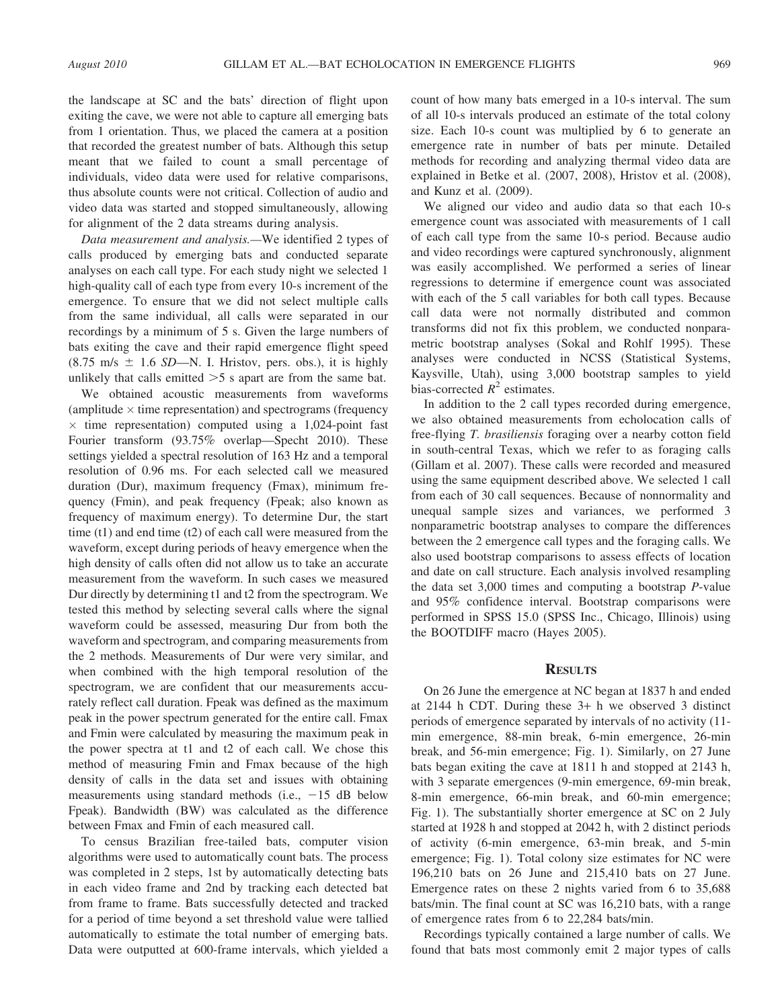the landscape at SC and the bats' direction of flight upon exiting the cave, we were not able to capture all emerging bats from 1 orientation. Thus, we placed the camera at a position that recorded the greatest number of bats. Although this setup meant that we failed to count a small percentage of individuals, video data were used for relative comparisons, thus absolute counts were not critical. Collection of audio and video data was started and stopped simultaneously, allowing for alignment of the 2 data streams during analysis.

Data measurement and analysis.—We identified 2 types of calls produced by emerging bats and conducted separate analyses on each call type. For each study night we selected 1 high-quality call of each type from every 10-s increment of the emergence. To ensure that we did not select multiple calls from the same individual, all calls were separated in our recordings by a minimum of 5 s. Given the large numbers of bats exiting the cave and their rapid emergence flight speed  $(8.75 \text{ m/s } \pm 1.6 \text{ SD} - \text{N}$ . I. Hristov, pers. obs.), it is highly unlikely that calls emitted  $>5$  s apart are from the same bat.

We obtained acoustic measurements from waveforms (amplitude  $\times$  time representation) and spectrograms (frequency  $\times$  time representation) computed using a 1,024-point fast Fourier transform (93.75% overlap—Specht 2010). These settings yielded a spectral resolution of 163 Hz and a temporal resolution of 0.96 ms. For each selected call we measured duration (Dur), maximum frequency (Fmax), minimum frequency (Fmin), and peak frequency (Fpeak; also known as frequency of maximum energy). To determine Dur, the start time (t1) and end time (t2) of each call were measured from the waveform, except during periods of heavy emergence when the high density of calls often did not allow us to take an accurate measurement from the waveform. In such cases we measured Dur directly by determining t1 and t2 from the spectrogram. We tested this method by selecting several calls where the signal waveform could be assessed, measuring Dur from both the waveform and spectrogram, and comparing measurements from the 2 methods. Measurements of Dur were very similar, and when combined with the high temporal resolution of the spectrogram, we are confident that our measurements accurately reflect call duration. Fpeak was defined as the maximum peak in the power spectrum generated for the entire call. Fmax and Fmin were calculated by measuring the maximum peak in the power spectra at t1 and t2 of each call. We chose this method of measuring Fmin and Fmax because of the high density of calls in the data set and issues with obtaining measurements using standard methods (i.e.,  $-15$  dB below Fpeak). Bandwidth (BW) was calculated as the difference between Fmax and Fmin of each measured call.

To census Brazilian free-tailed bats, computer vision algorithms were used to automatically count bats. The process was completed in 2 steps, 1st by automatically detecting bats in each video frame and 2nd by tracking each detected bat from frame to frame. Bats successfully detected and tracked for a period of time beyond a set threshold value were tallied automatically to estimate the total number of emerging bats. Data were outputted at 600-frame intervals, which yielded a count of how many bats emerged in a 10-s interval. The sum of all 10-s intervals produced an estimate of the total colony size. Each 10-s count was multiplied by 6 to generate an emergence rate in number of bats per minute. Detailed methods for recording and analyzing thermal video data are explained in Betke et al. (2007, 2008), Hristov et al. (2008), and Kunz et al. (2009).

We aligned our video and audio data so that each 10-s emergence count was associated with measurements of 1 call of each call type from the same 10-s period. Because audio and video recordings were captured synchronously, alignment was easily accomplished. We performed a series of linear regressions to determine if emergence count was associated with each of the 5 call variables for both call types. Because call data were not normally distributed and common transforms did not fix this problem, we conducted nonparametric bootstrap analyses (Sokal and Rohlf 1995). These analyses were conducted in NCSS (Statistical Systems, Kaysville, Utah), using 3,000 bootstrap samples to yield bias-corrected  $R^2$  estimates.

In addition to the 2 call types recorded during emergence, we also obtained measurements from echolocation calls of free-flying T. brasiliensis foraging over a nearby cotton field in south-central Texas, which we refer to as foraging calls (Gillam et al. 2007). These calls were recorded and measured using the same equipment described above. We selected 1 call from each of 30 call sequences. Because of nonnormality and unequal sample sizes and variances, we performed 3 nonparametric bootstrap analyses to compare the differences between the 2 emergence call types and the foraging calls. We also used bootstrap comparisons to assess effects of location and date on call structure. Each analysis involved resampling the data set 3,000 times and computing a bootstrap P-value and 95% confidence interval. Bootstrap comparisons were performed in SPSS 15.0 (SPSS Inc., Chicago, Illinois) using the BOOTDIFF macro (Hayes 2005).

# **RESULTS**

On 26 June the emergence at NC began at 1837 h and ended at 2144 h CDT. During these 3+ h we observed 3 distinct periods of emergence separated by intervals of no activity (11 min emergence, 88-min break, 6-min emergence, 26-min break, and 56-min emergence; Fig. 1). Similarly, on 27 June bats began exiting the cave at 1811 h and stopped at 2143 h, with 3 separate emergences (9-min emergence, 69-min break, 8-min emergence, 66-min break, and 60-min emergence; Fig. 1). The substantially shorter emergence at SC on 2 July started at 1928 h and stopped at 2042 h, with 2 distinct periods of activity (6-min emergence, 63-min break, and 5-min emergence; Fig. 1). Total colony size estimates for NC were 196,210 bats on 26 June and 215,410 bats on 27 June. Emergence rates on these 2 nights varied from 6 to 35,688 bats/min. The final count at SC was 16,210 bats, with a range of emergence rates from 6 to 22,284 bats/min.

Recordings typically contained a large number of calls. We found that bats most commonly emit 2 major types of calls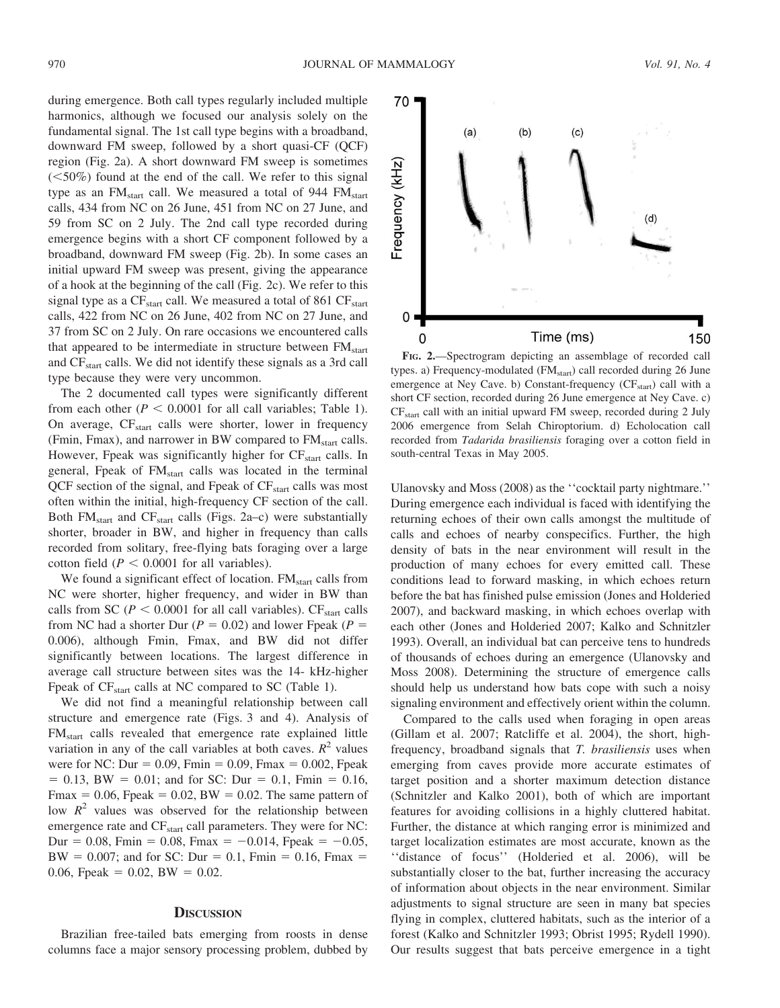during emergence. Both call types regularly included multiple harmonics, although we focused our analysis solely on the fundamental signal. The 1st call type begins with a broadband, downward FM sweep, followed by a short quasi-CF (QCF) region (Fig. 2a). A short downward FM sweep is sometimes  $(<50\%)$  found at the end of the call. We refer to this signal type as an FM<sub>start</sub> call. We measured a total of 944 FM<sub>start</sub> calls, 434 from NC on 26 June, 451 from NC on 27 June, and 59 from SC on 2 July. The 2nd call type recorded during emergence begins with a short CF component followed by a broadband, downward FM sweep (Fig. 2b). In some cases an initial upward FM sweep was present, giving the appearance of a hook at the beginning of the call (Fig. 2c). We refer to this signal type as a  $CF<sub>start</sub>$  call. We measured a total of 861  $CF<sub>start</sub>$ calls, 422 from NC on 26 June, 402 from NC on 27 June, and 37 from SC on 2 July. On rare occasions we encountered calls that appeared to be intermediate in structure between  $FM<sub>start</sub>$ and CFstart calls. We did not identify these signals as a 3rd call type because they were very uncommon.

The 2 documented call types were significantly different from each other ( $P < 0.0001$  for all call variables; Table 1). On average, CF<sub>start</sub> calls were shorter, lower in frequency (Fmin, Fmax), and narrower in BW compared to FM<sub>start</sub> calls. However, Fpeak was significantly higher for  $CF_{start}$  calls. In general, Fpeak of FM<sub>start</sub> calls was located in the terminal QCF section of the signal, and Fpeak of  $CF_{\text{start}}$  calls was most often within the initial, high-frequency CF section of the call. Both  $FM<sub>start</sub>$  and  $CF<sub>start</sub>$  calls (Figs. 2a–c) were substantially shorter, broader in BW, and higher in frequency than calls recorded from solitary, free-flying bats foraging over a large cotton field ( $P < 0.0001$  for all variables).

We found a significant effect of location.  $FM<sub>start</sub>$  calls from NC were shorter, higher frequency, and wider in BW than calls from SC ( $P < 0.0001$  for all call variables). CF<sub>start</sub> calls from NC had a shorter Dur ( $P = 0.02$ ) and lower Fpeak ( $P =$ 0.006), although Fmin, Fmax, and BW did not differ significantly between locations. The largest difference in average call structure between sites was the 14- kHz-higher Fpeak of  $CF<sub>start</sub>$  calls at NC compared to SC (Table 1).

We did not find a meaningful relationship between call structure and emergence rate (Figs. 3 and 4). Analysis of FM<sub>start</sub> calls revealed that emergence rate explained little variation in any of the call variables at both caves.  $R^2$  values were for NC: Dur =  $0.09$ , Fmin =  $0.09$ , Fmax =  $0.002$ , Fpeak  $= 0.13$ , BW  $= 0.01$ ; and for SC: Dur  $= 0.1$ , Fmin  $= 0.16$ , Fmax = 0.06, Fpeak = 0.02, BW = 0.02. The same pattern of low  $R^2$  values was observed for the relationship between emergence rate and CF<sub>start</sub> call parameters. They were for NC: Dur = 0.08, Fmin = 0.08, Fmax =  $-0.014$ , Fpeak =  $-0.05$ , BW = 0.007; and for SC: Dur = 0.1, Fmin = 0.16, Fmax = 0.06, Fpeak = 0.02, BW = 0.02.

#### **DISCUSSION**

Brazilian free-tailed bats emerging from roosts in dense columns face a major sensory processing problem, dubbed by



FIG. 2.—Spectrogram depicting an assemblage of recorded call types. a) Frequency-modulated (FM<sub>start</sub>) call recorded during 26 June emergence at Ney Cave. b) Constant-frequency (CF<sub>start</sub>) call with a short CF section, recorded during 26 June emergence at Ney Cave. c) CFstart call with an initial upward FM sweep, recorded during 2 July 2006 emergence from Selah Chiroptorium. d) Echolocation call recorded from Tadarida brasiliensis foraging over a cotton field in south-central Texas in May 2005.

Ulanovsky and Moss (2008) as the ''cocktail party nightmare.'' During emergence each individual is faced with identifying the returning echoes of their own calls amongst the multitude of calls and echoes of nearby conspecifics. Further, the high density of bats in the near environment will result in the production of many echoes for every emitted call. These conditions lead to forward masking, in which echoes return before the bat has finished pulse emission (Jones and Holderied 2007), and backward masking, in which echoes overlap with each other (Jones and Holderied 2007; Kalko and Schnitzler 1993). Overall, an individual bat can perceive tens to hundreds of thousands of echoes during an emergence (Ulanovsky and Moss 2008). Determining the structure of emergence calls should help us understand how bats cope with such a noisy signaling environment and effectively orient within the column.

Compared to the calls used when foraging in open areas (Gillam et al. 2007; Ratcliffe et al. 2004), the short, highfrequency, broadband signals that T. brasiliensis uses when emerging from caves provide more accurate estimates of target position and a shorter maximum detection distance (Schnitzler and Kalko 2001), both of which are important features for avoiding collisions in a highly cluttered habitat. Further, the distance at which ranging error is minimized and target localization estimates are most accurate, known as the ''distance of focus'' (Holderied et al. 2006), will be substantially closer to the bat, further increasing the accuracy of information about objects in the near environment. Similar adjustments to signal structure are seen in many bat species flying in complex, cluttered habitats, such as the interior of a forest (Kalko and Schnitzler 1993; Obrist 1995; Rydell 1990). Our results suggest that bats perceive emergence in a tight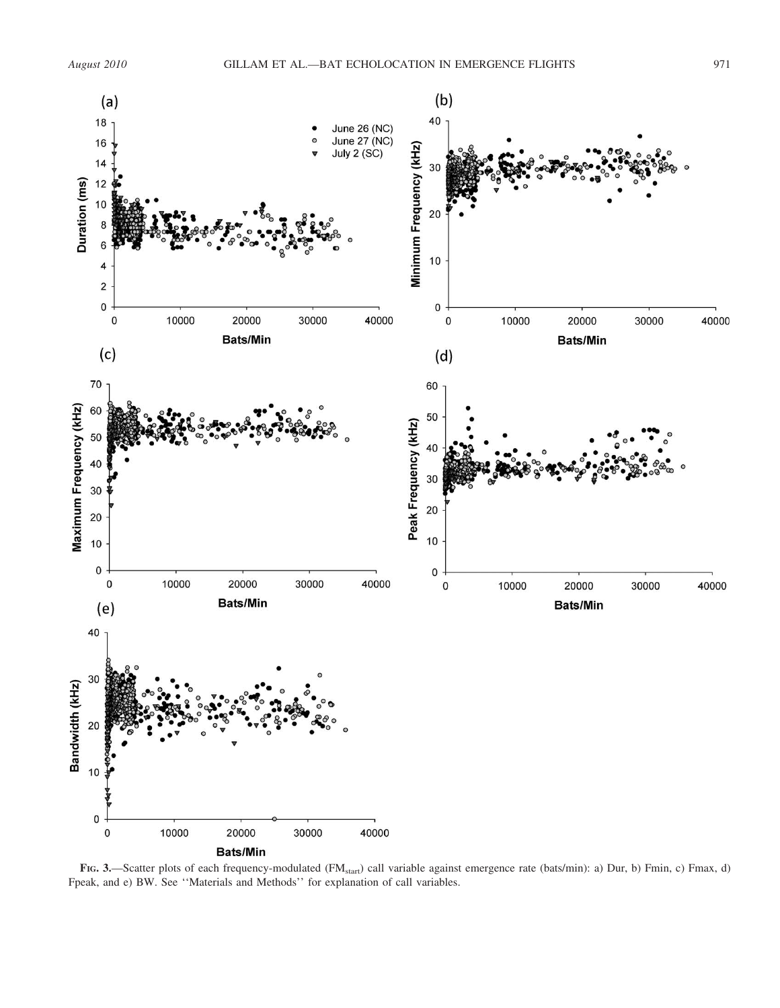

FIG. 3.—Scatter plots of each frequency-modulated (FM<sub>start</sub>) call variable against emergence rate (bats/min): a) Dur, b) Fmin, c) Fmax, d) Fpeak, and e) BW. See ''Materials and Methods'' for explanation of call variables.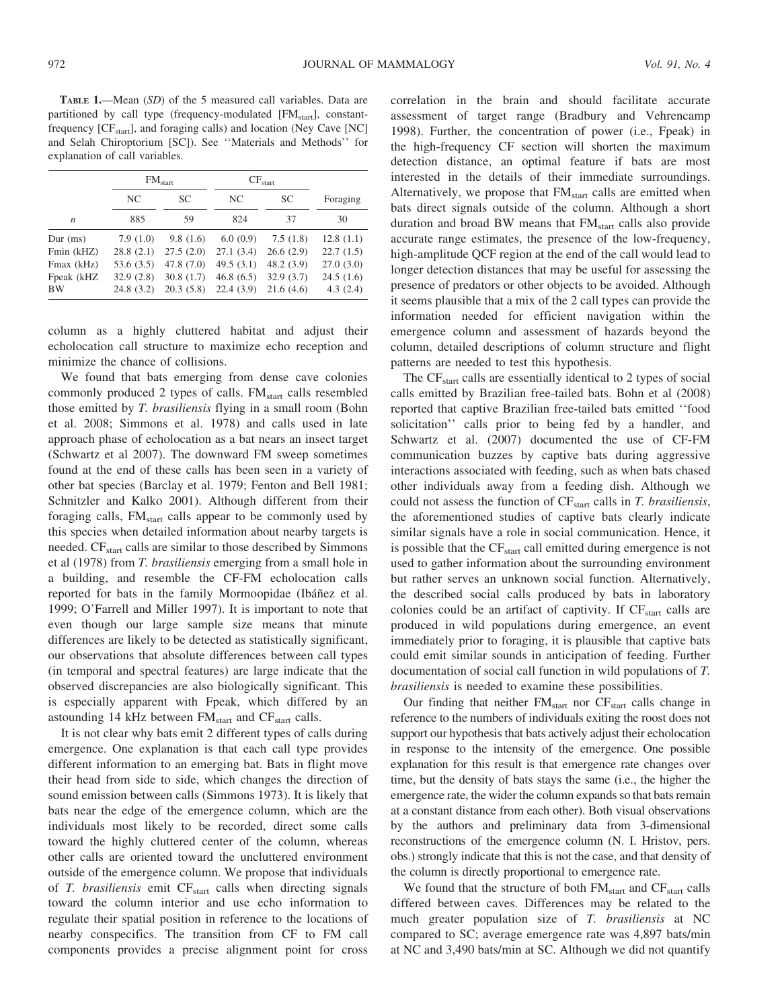TABLE 1.—Mean (SD) of the 5 measured call variables. Data are partitioned by call type (frequency-modulated [FM<sub>start</sub>], constantfrequency  $[CF<sub>start</sub>]$ , and foraging calls) and location (Ney Cave  $[NC]$ and Selah Chiroptorium [SC]). See ''Materials and Methods'' for explanation of call variables.

|                  | FM <sub>start</sub> |           | $CF_{\text{start}}$ |           |           |
|------------------|---------------------|-----------|---------------------|-----------|-----------|
|                  | NC.                 | <b>SC</b> | NC                  | SC.       | Foraging  |
| $\boldsymbol{n}$ | 885                 | 59        | 824                 | 37        | 30        |
| Dur (ms)         | 7.9(1.0)            | 9.8(1.6)  | 6.0(0.9)            | 7.5(1.8)  | 12.8(1.1) |
| Fmin (kHZ)       | 28.8(2.1)           | 27.5(2.0) | 27.1(3.4)           | 26.6(2.9) | 22.7(1.5) |
| Fmax (kHz)       | 53.6(3.5)           | 47.8(7.0) | 49.5(3.1)           | 48.2(3.9) | 27.0(3.0) |
| Fpeak (kHZ       | 32.9(2.8)           | 30.8(1.7) | 46.8(6.5)           | 32.9(3.7) | 24.5(1.6) |
| <b>BW</b>        | 24.8(3.2)           | 20.3(5.8) | 22.4(3.9)           | 21.6(4.6) | 4.3(2.4)  |

column as a highly cluttered habitat and adjust their echolocation call structure to maximize echo reception and minimize the chance of collisions.

We found that bats emerging from dense cave colonies commonly produced 2 types of calls. FM<sub>start</sub> calls resembled those emitted by T. brasiliensis flying in a small room (Bohn et al. 2008; Simmons et al. 1978) and calls used in late approach phase of echolocation as a bat nears an insect target (Schwartz et al 2007). The downward FM sweep sometimes found at the end of these calls has been seen in a variety of other bat species (Barclay et al. 1979; Fenton and Bell 1981; Schnitzler and Kalko 2001). Although different from their foraging calls, FM<sub>start</sub> calls appear to be commonly used by this species when detailed information about nearby targets is needed. CF<sub>start</sub> calls are similar to those described by Simmons et al (1978) from T. brasiliensis emerging from a small hole in a building, and resemble the CF-FM echolocation calls reported for bats in the family Mormoopidae (Ibáñez et al. 1999; O'Farrell and Miller 1997). It is important to note that even though our large sample size means that minute differences are likely to be detected as statistically significant, our observations that absolute differences between call types (in temporal and spectral features) are large indicate that the observed discrepancies are also biologically significant. This is especially apparent with Fpeak, which differed by an astounding 14 kHz between  $FM<sub>start</sub>$  and  $CF<sub>start</sub>$  calls.

It is not clear why bats emit 2 different types of calls during emergence. One explanation is that each call type provides different information to an emerging bat. Bats in flight move their head from side to side, which changes the direction of sound emission between calls (Simmons 1973). It is likely that bats near the edge of the emergence column, which are the individuals most likely to be recorded, direct some calls toward the highly cluttered center of the column, whereas other calls are oriented toward the uncluttered environment outside of the emergence column. We propose that individuals of  $T$ . brasiliensis emit  $CF<sub>start</sub>$  calls when directing signals toward the column interior and use echo information to regulate their spatial position in reference to the locations of nearby conspecifics. The transition from CF to FM call components provides a precise alignment point for cross correlation in the brain and should facilitate accurate assessment of target range (Bradbury and Vehrencamp 1998). Further, the concentration of power (i.e., Fpeak) in the high-frequency CF section will shorten the maximum detection distance, an optimal feature if bats are most interested in the details of their immediate surroundings. Alternatively, we propose that  $FM<sub>start</sub>$  calls are emitted when bats direct signals outside of the column. Although a short duration and broad BW means that  $FM<sub>start</sub>$  calls also provide accurate range estimates, the presence of the low-frequency, high-amplitude QCF region at the end of the call would lead to longer detection distances that may be useful for assessing the presence of predators or other objects to be avoided. Although it seems plausible that a mix of the 2 call types can provide the information needed for efficient navigation within the emergence column and assessment of hazards beyond the column, detailed descriptions of column structure and flight patterns are needed to test this hypothesis.

The CF<sub>start</sub> calls are essentially identical to 2 types of social calls emitted by Brazilian free-tailed bats. Bohn et al (2008) reported that captive Brazilian free-tailed bats emitted ''food solicitation'' calls prior to being fed by a handler, and Schwartz et al. (2007) documented the use of CF-FM communication buzzes by captive bats during aggressive interactions associated with feeding, such as when bats chased other individuals away from a feeding dish. Although we could not assess the function of  $CF<sub>start</sub>$  calls in T. brasiliensis, the aforementioned studies of captive bats clearly indicate similar signals have a role in social communication. Hence, it is possible that the  $CF<sub>start</sub>$  call emitted during emergence is not used to gather information about the surrounding environment but rather serves an unknown social function. Alternatively, the described social calls produced by bats in laboratory colonies could be an artifact of captivity. If  $CF<sub>start</sub>$  calls are produced in wild populations during emergence, an event immediately prior to foraging, it is plausible that captive bats could emit similar sounds in anticipation of feeding. Further documentation of social call function in wild populations of T. brasiliensis is needed to examine these possibilities.

Our finding that neither FM<sub>start</sub> nor CF<sub>start</sub> calls change in reference to the numbers of individuals exiting the roost does not support our hypothesis that bats actively adjust their echolocation in response to the intensity of the emergence. One possible explanation for this result is that emergence rate changes over time, but the density of bats stays the same (i.e., the higher the emergence rate, the wider the column expands so that bats remain at a constant distance from each other). Both visual observations by the authors and preliminary data from 3-dimensional reconstructions of the emergence column (N. I. Hristov, pers. obs.) strongly indicate that this is not the case, and that density of the column is directly proportional to emergence rate.

We found that the structure of both  $FM<sub>start</sub>$  and  $CF<sub>start</sub>$  calls differed between caves. Differences may be related to the much greater population size of T. brasiliensis at NC compared to SC; average emergence rate was 4,897 bats/min at NC and 3,490 bats/min at SC. Although we did not quantify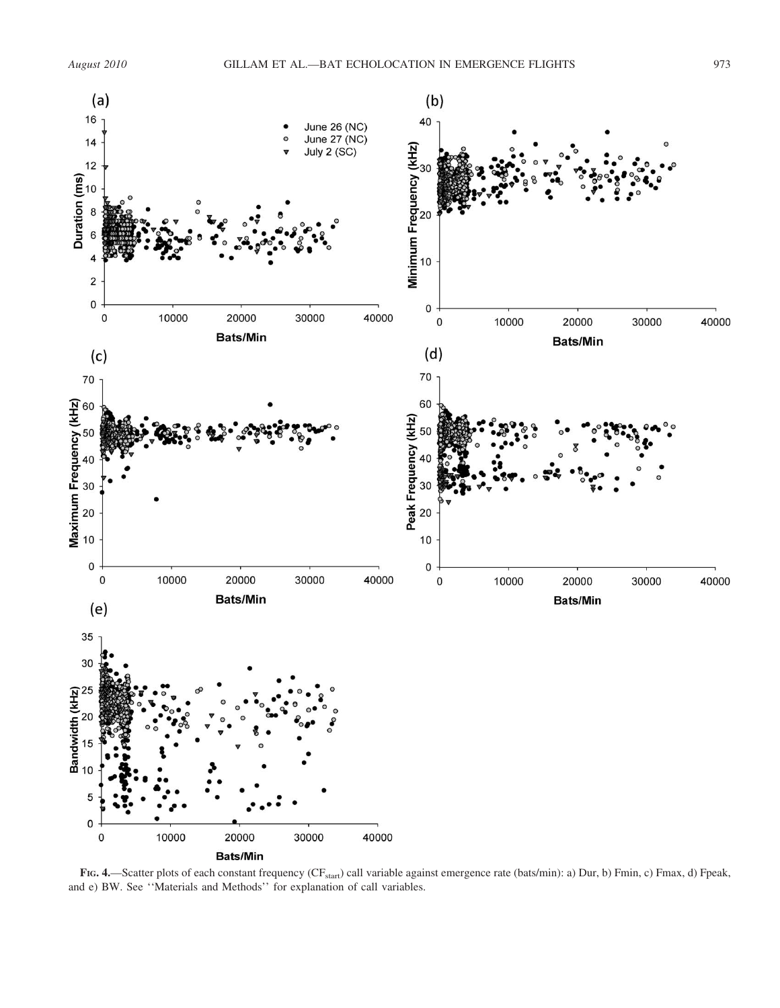

FIG. 4.—Scatter plots of each constant frequency (CF<sub>start</sub>) call variable against emergence rate (bats/min): a) Dur, b) Fmin, c) Fmax, d) Fpeak, and e) BW. See ''Materials and Methods'' for explanation of call variables.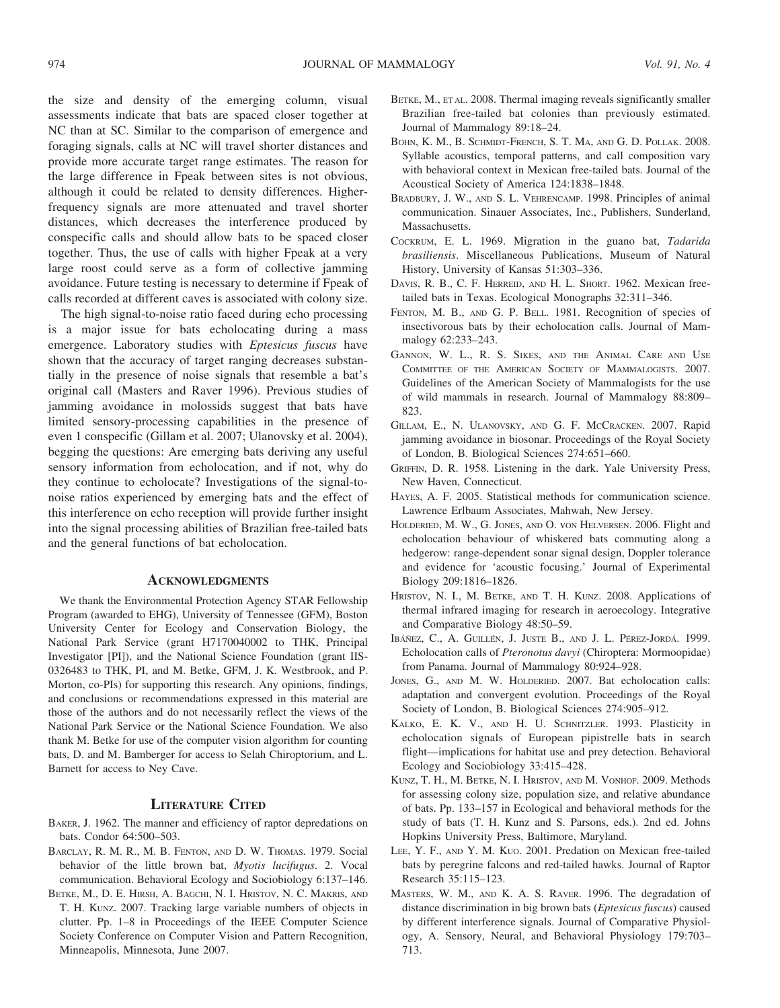the size and density of the emerging column, visual assessments indicate that bats are spaced closer together at NC than at SC. Similar to the comparison of emergence and foraging signals, calls at NC will travel shorter distances and provide more accurate target range estimates. The reason for the large difference in Fpeak between sites is not obvious, although it could be related to density differences. Higherfrequency signals are more attenuated and travel shorter distances, which decreases the interference produced by conspecific calls and should allow bats to be spaced closer together. Thus, the use of calls with higher Fpeak at a very large roost could serve as a form of collective jamming avoidance. Future testing is necessary to determine if Fpeak of calls recorded at different caves is associated with colony size.

The high signal-to-noise ratio faced during echo processing is a major issue for bats echolocating during a mass emergence. Laboratory studies with Eptesicus fuscus have shown that the accuracy of target ranging decreases substantially in the presence of noise signals that resemble a bat's original call (Masters and Raver 1996). Previous studies of jamming avoidance in molossids suggest that bats have limited sensory-processing capabilities in the presence of even 1 conspecific (Gillam et al. 2007; Ulanovsky et al. 2004), begging the questions: Are emerging bats deriving any useful sensory information from echolocation, and if not, why do they continue to echolocate? Investigations of the signal-tonoise ratios experienced by emerging bats and the effect of this interference on echo reception will provide further insight into the signal processing abilities of Brazilian free-tailed bats and the general functions of bat echolocation.

# **ACKNOWLEDGMENTS**

We thank the Environmental Protection Agency STAR Fellowship Program (awarded to EHG), University of Tennessee (GFM), Boston University Center for Ecology and Conservation Biology, the National Park Service (grant H7170040002 to THK, Principal Investigator [PI]), and the National Science Foundation (grant IIS-0326483 to THK, PI, and M. Betke, GFM, J. K. Westbrook, and P. Morton, co-PIs) for supporting this research. Any opinions, findings, and conclusions or recommendations expressed in this material are those of the authors and do not necessarily reflect the views of the National Park Service or the National Science Foundation. We also thank M. Betke for use of the computer vision algorithm for counting bats, D. and M. Bamberger for access to Selah Chiroptorium, and L. Barnett for access to Ney Cave.

## LITERATURE CITED

- BAKER, J. 1962. The manner and efficiency of raptor depredations on bats. Condor 64:500–503.
- BARCLAY, R. M. R., M. B. FENTON, AND D. W. THOMAS. 1979. Social behavior of the little brown bat, Myotis lucifugus. 2. Vocal communication. Behavioral Ecology and Sociobiology 6:137–146.
- BETKE, M., D. E. HIRSH, A. BAGCHI, N. I. HRISTOV, N. C. MAKRIS, AND T. H. KUNZ. 2007. Tracking large variable numbers of objects in clutter. Pp. 1–8 in Proceedings of the IEEE Computer Science Society Conference on Computer Vision and Pattern Recognition, Minneapolis, Minnesota, June 2007.
- BETKE, M., ET AL. 2008. Thermal imaging reveals significantly smaller Brazilian free-tailed bat colonies than previously estimated. Journal of Mammalogy 89:18–24.
- BOHN, K. M., B. SCHMIDT-FRENCH, S. T. MA, AND G. D. POLLAK. 2008. Syllable acoustics, temporal patterns, and call composition vary with behavioral context in Mexican free-tailed bats. Journal of the Acoustical Society of America 124:1838–1848.
- BRADBURY, J. W., AND S. L. VEHRENCAMP. 1998. Principles of animal communication. Sinauer Associates, Inc., Publishers, Sunderland, Massachusetts.
- COCKRUM, E. L. 1969. Migration in the guano bat, Tadarida brasiliensis. Miscellaneous Publications, Museum of Natural History, University of Kansas 51:303–336.
- DAVIS, R. B., C. F. HERREID, AND H. L. SHORT. 1962. Mexican freetailed bats in Texas. Ecological Monographs 32:311–346.
- FENTON, M. B., AND G. P. BELL. 1981. Recognition of species of insectivorous bats by their echolocation calls. Journal of Mammalogy 62:233–243.
- GANNON, W. L., R. S. SIKES, AND THE ANIMAL CARE AND USE COMMITTEE OF THE AMERICAN SOCIETY OF MAMMALOGISTS. 2007. Guidelines of the American Society of Mammalogists for the use of wild mammals in research. Journal of Mammalogy 88:809– 823.
- GILLAM, E., N. ULANOVSKY, AND G. F. MCCRACKEN. 2007. Rapid jamming avoidance in biosonar. Proceedings of the Royal Society of London, B. Biological Sciences 274:651–660.
- GRIFFIN, D. R. 1958. Listening in the dark. Yale University Press, New Haven, Connecticut.
- HAYES, A. F. 2005. Statistical methods for communication science. Lawrence Erlbaum Associates, Mahwah, New Jersey.
- HOLDERIED, M. W., G. JONES, AND O. vON HELVERSEN. 2006. Flight and echolocation behaviour of whiskered bats commuting along a hedgerow: range-dependent sonar signal design, Doppler tolerance and evidence for 'acoustic focusing.' Journal of Experimental Biology 209:1816–1826.
- HRISTOV, N. I., M. BETKE, AND T. H. KUNZ. 2008. Applications of thermal infrared imaging for research in aeroecology. Integrative and Comparative Biology 48:50–59.
- IBÁÑEZ, C., A. GUILLÉN, J. JUSTE B., AND J. L. PÉREZ-JORDÁ. 1999. Echolocation calls of Pteronotus davyi (Chiroptera: Mormoopidae) from Panama. Journal of Mammalogy 80:924–928.
- JONES, G., AND M. W. HOLDERIED. 2007. Bat echolocation calls: adaptation and convergent evolution. Proceedings of the Royal Society of London, B. Biological Sciences 274:905–912.
- KALKO, E. K. V., AND H. U. SCHNITZLER. 1993. Plasticity in echolocation signals of European pipistrelle bats in search flight—implications for habitat use and prey detection. Behavioral Ecology and Sociobiology 33:415–428.
- KUNZ, T. H., M. BETKE, N. I. HRISTOV, AND M. VONHOF. 2009. Methods for assessing colony size, population size, and relative abundance of bats. Pp. 133–157 in Ecological and behavioral methods for the study of bats (T. H. Kunz and S. Parsons, eds.). 2nd ed. Johns Hopkins University Press, Baltimore, Maryland.
- LEE, Y. F., AND Y. M. KUO. 2001. Predation on Mexican free-tailed bats by peregrine falcons and red-tailed hawks. Journal of Raptor Research 35:115–123.
- MASTERS, W. M., AND K. A. S. RAVER. 1996. The degradation of distance discrimination in big brown bats (Eptesicus fuscus) caused by different interference signals. Journal of Comparative Physiology, A. Sensory, Neural, and Behavioral Physiology 179:703– 713.